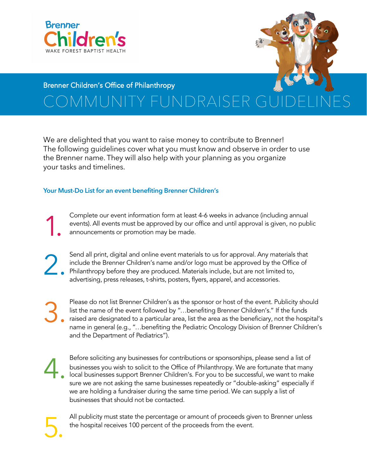



#### Brenner Children's Office of Philanthropy

## COMMUNITY FUNDRAISER GI

We are delighted that you want to raise money to contribute to Brenner! The following guidelines cover what you must know and observe in order to use the Brenner name. They will also help with your planning as you organize your tasks and timelines.

#### **Your Must-Do List for an event benefiting Brenner Children's**

Complete our event information form at least 4-6 weeks in advance (including annual events). All events must be approved by our office and until approval is given, no public announcements or promotion may be made. 1.

Send all print, digital and online event materials to us for approval. Any materials that include the Brenner Children's name and/or logo must be approved by the Office of Philanthropy before they are produced. Materials include, but are not limited to, advertising, press releases, t-shirts, posters, flyers, apparel, and accessories. 2.

Please do not list Brenner Children's as the sponsor or host of the event. Publicity should list the name of the event followed by "…benefiting Brenner Children's." If the funds raised are designated to a particular area, list the area as the beneficiary, not the hospital's name in general (e.g., "…benefiting the Pediatric Oncology Division of Brenner Children's and the Department of Pediatrics"). 3.

4.

5.

Before soliciting any businesses for contributions or sponsorships, please send a list of businesses you wish to solicit to the Office of Philanthropy. We are fortunate that many local businesses support Brenner Children's. For you to be successful, we want to make sure we are not asking the same businesses repeatedly or "double-asking" especially if we are holding a fundraiser during the same time period. We can supply a list of businesses that should not be contacted.

All publicity must state the percentage or amount of proceeds given to Brenner unless the hospital receives 100 percent of the proceeds from the event.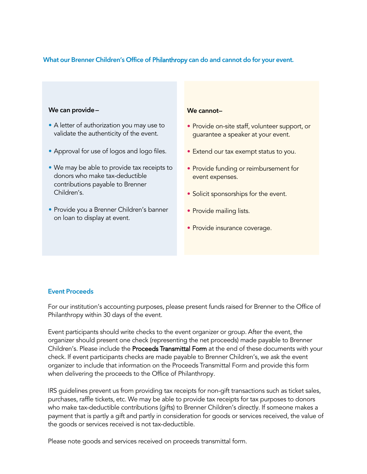#### **What our Brenner Children's Office of** Philanthropy **can do and cannot do for your event.**

#### **We can provide—**

- A letter of authorization you may use to validate the authenticity of the event.
- Approval for use of logos and logo files.
- We may be able to provide tax receipts to donors who make tax-deductible contributions payable to Brenner Children's.
- Provide you a Brenner Children's banner on loan to display at event.

#### **We cannot—**

- Provide on-site staff, volunteer support, or guarantee a speaker at your event.
- Extend our tax exempt status to you.
- Provide funding or reimbursement for event expenses.
- Solicit sponsorships for the event.
- Provide mailing lists.
- Provide insurance coverage.

#### **Event Proceeds**

For our institution's accounting purposes, please present funds raised for Brenner to the Office of Philanthropy within 30 days of the event.

Event participants should write checks to the event organizer or group. After the event, the organizer should present one check (representing the net proceeds) made payable to Brenner Children's. Please include the Proceeds Transmittal Form at the end of these documents with your check. If event participants checks are made payable to Brenner Children's, we ask the event organizer to include that information on the Proceeds Transmittal Form and provide this form when delivering the proceeds to the Office of Philanthropy.

IRS guidelines prevent us from providing tax receipts for non-gift transactions such as ticket sales, purchases, raffle tickets, etc. We may be able to provide tax receipts for tax purposes to donors who make tax-deductible contributions (gifts) to Brenner Children's directly. If someone makes a payment that is partly a gift and partly in consideration for goods or services received, the value of the goods or services received is not tax-deductible.

Please note goods and services received on proceeds transmittal form.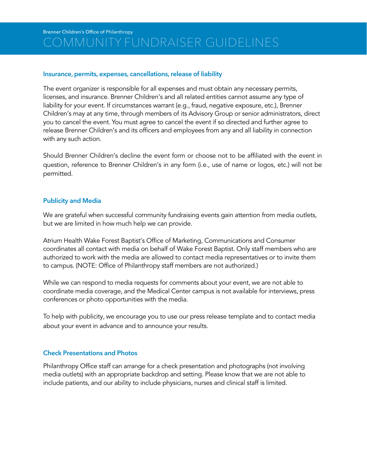#### Brenner Children's Office of Philanthropy COMMUNITY FUNDRAISER GUIDELINES

#### **Insurance, permits, expenses, cancellations,release of liability**

The event organizer is responsible for all expenses and must obtain any necessary permits, licenses, and insurance. Brenner Children's and all related entities cannot assume any type of liability for your event. If circumstances warrant (e.g., fraud, negative exposure, etc.), Brenner Children's may at any time, through members of its Advisory Group or senior administrators, direct you to cancel the event. You must agree to cancel the event if so directed and further agree to release Brenner Children's and its officers and employees from any and all liability in connection with any such action.

Should Brenner Children's decline the event form or choose not to be affiliated with the event in question, reference to Brenner Children's in any form (i.e., use of name or logos, etc.) will not be permitted.

#### **Publicity and Media**

We are grateful when successful community fundraising events gain attention from media outlets, but we are limited in how much help we can provide.

Atrium Health Wake Forest Baptist's Office of Marketing, Communications and Consumer coordinates all contact with media on behalf of Wake Forest Baptist. Only staff members who are authorized to work with the media are allowed to contact media representatives or to invite them to campus. (NOTE: Office of Philanthropy staff members are not authorized.)

While we can respond to media requests for comments about your event, we are not able to coordinate media coverage, and the Medical Center campus is not available for interviews, press conferences or photo opportunities with the media.

To help with publicity, we encourage you to use our press release template and to contact media about your event in advance and to announce your results.

#### **Check Presentations and Photos**

Philanthropy Office staff can arrange for a check presentation and photographs (not involving media outlets) with an appropriate backdrop and setting. Please know that we are not able to include patients, and our ability to include physicians, nurses and clinical staff is limited.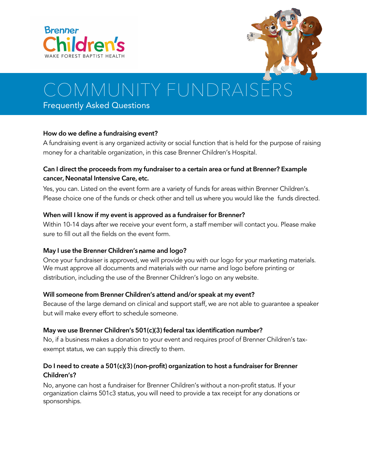



# OMMUNITY FUNDRAISI

Frequently Asked Questions

#### **How do we define a fundraising event?**

A fundraising event is any organized activity or social function that is held for the purpose of raising money for a charitable organization, in this case Brenner Children's Hospital.

#### **Can I direct the proceeds from my fundraiser to a certain area or fund at Brenner? Example cancer, Neonatal Intensive Care, etc.**

Yes, you can. Listed on the event form are a variety of funds for areas within Brenner Children's. Please choice one of the funds or check other and tell us where you would like the funds directed.

#### **When will I know if my event is approved as a fundraiser for Brenner?**

Within 10-14 days after we receive your event form, a staff member will contact you. Please make sure to fill out all the fields on the event form.

#### **May I use the Brenner Children's** n**ame and logo?**

Once your fundraiser is approved, we will provide you with our logo for your marketing materials. We must approve all documents and materials with our name and logo before printing or distribution, including the use of the Brenner Children's logo on any website.

#### **Will someone from Brenner Children's attend and/or speak at my event?**

Because of the large demand on clinical and support staff, we are not able to guarantee a speaker but will make every effort to schedule someone.

#### **May we use Brenner Children's 501(c)(3) federal tax identification number?**

No, if a business makes a donation to your event and requires proof of Brenner Children's taxexempt status, we can supply this directly to them.

#### **Do I need to create a 501(c)(3) (non-profit) organization to host a fundraiser for Brenner Children's?**

No, anyone can host a fundraiser for Brenner Children's without a non-profit status. If your organization claims 501c3 status, you will need to provide a tax receipt for any donations or sponsorships.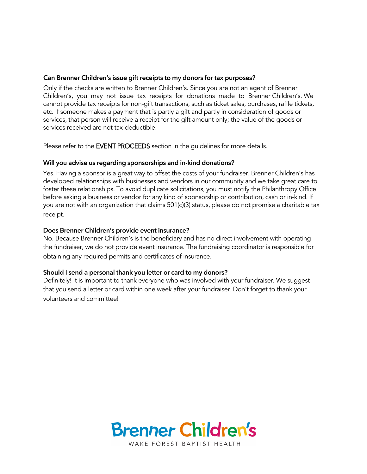#### **Can Brenner Children's issue gift receipts to my donors for tax purposes?**

Only if the checks are written to Brenner Children's. Since you are not an agent of Brenner Children's, you may not issue tax receipts for donations made to Brenner Children's. We cannot provide tax receipts for non-gift transactions, such as ticket sales, purchases, raffle tickets, etc. If someone makes a payment that is partly a gift and partly in consideration of goods or services, that person will receive a receipt for the gift amount only; the value of the goods or services received are not tax-deductible.

Please refer to the EVENT PROCEEDS section in the quidelines for more details.

#### **Will you advise us regarding sponsorships and in-kind donations?**

Yes. Having a sponsor is a great way to offset the costs of your fundraiser. Brenner Children's has developed relationships with businesses and vendors in our community and we take great care to foster these relationships. To avoid duplicate solicitations, you must notify the Philanthropy Office before asking a business or vendor for any kind of sponsorship or contribution, cash or in-kind. If you are not with an organization that claims 501(c)(3) status, please do not promise a charitable tax receipt.

#### **Does Brenner Children's provide event insurance?**

No. Because Brenner Children's is the beneficiary and has no direct involvement with operating the fundraiser, we do not provide event insurance. The fundraising coordinator is responsible for obtaining any required permits and certificates of insurance.

#### **Should I send a personal thank you letter or card to my donors?**

Definitely! It is important to thank everyone who was involved with your fundraiser. We suggest that you send a letter or card within one week after your fundraiser. Don't forget to thank your volunteers and committee!